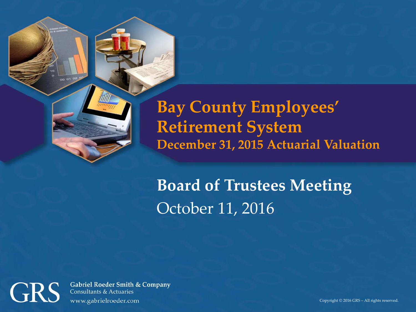

**Bay County Employees' Retirement System December 31, 2015 Actuarial Valuation** 

**Board of Trustees Meeting** October 11, 2016



**Gabriel Roeder Smith & Company Consultants & Actuaries** www.gabrielroeder.com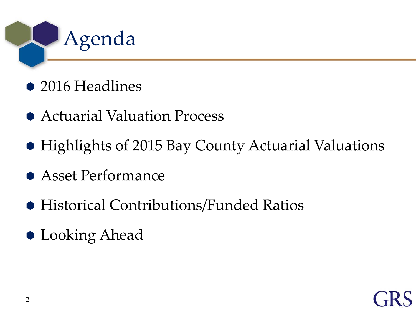

- 2016 Headlines
- Actuarial Valuation Process
- Highlights of 2015 Bay County Actuarial Valuations
- Asset Performance
- Historical Contributions/Funded Ratios
- **C** Looking Ahead

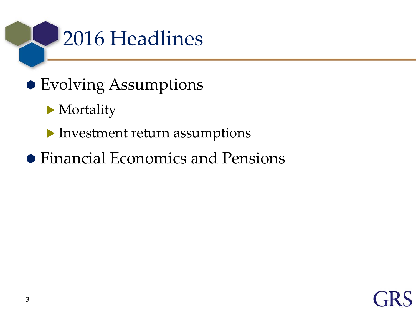

- Evolving Assumptions
	- **Mortality**
	- Investment return assumptions
- Financial Economics and Pensions

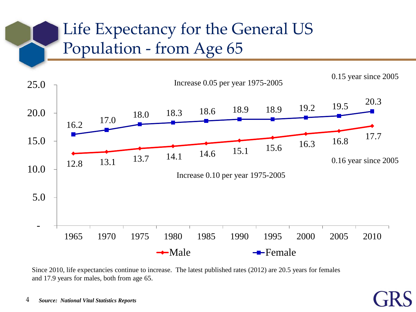#### Life Expectancy for the General US Population - from Age 65



Since 2010, life expectancies continue to increase. The latest published rates (2012) are 20.5 years for females and 17.9 years for males, both from age 65.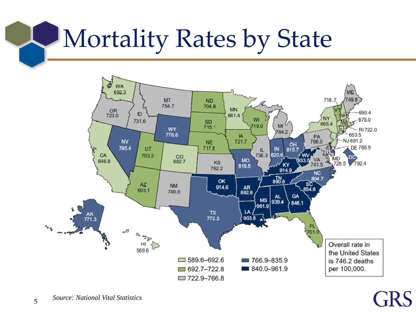# Mortality Rates by State

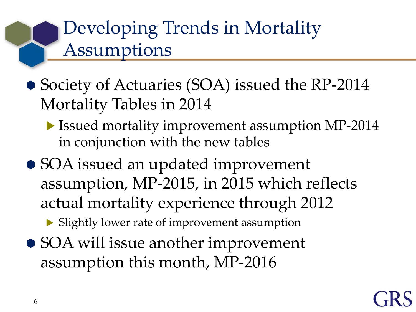Developing Trends in Mortality Assumptions

- Society of Actuaries (SOA) issued the RP-2014 Mortality Tables in 2014
	- Issued mortality improvement assumption MP-2014 in conjunction with the new tables
- SOA issued an updated improvement assumption, MP-2015, in 2015 which reflects actual mortality experience through 2012

Slightly lower rate of improvement assumption

• SOA will issue another improvement assumption this month, MP-2016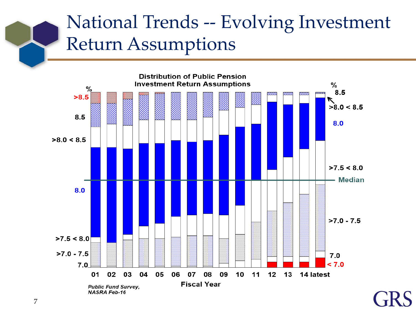#### National Trends -- Evolving Investment Return Assumptions

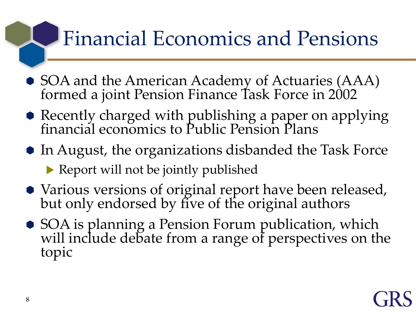#### Financial Economics and Pensions

- SOA and the American Academy of Actuaries (AAA) formed a joint Pension Finance Task Force in 2002
- Recently charged with publishing a paper on applying financial economics to Public Pension Plans
- In August, the organizations disbanded the Task Force
	- Report will not be jointly published
- Various versions of original report have been released, but only endorsed by five of the original authors
- SOA is planning a Pension Forum publication, which will include debate from a range of perspectives on the topic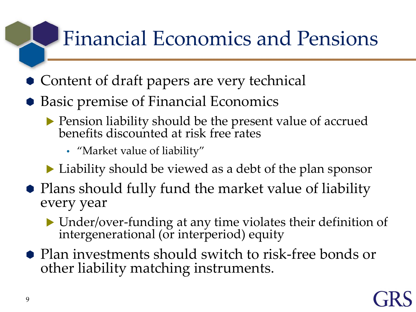# Financial Economics and Pensions

- Content of draft papers are very technical
- Basic premise of Financial Economics
	- Pension liability should be the present value of accrued benefits discounted at risk free rates
		- "Market value of liability"
	- Liability should be viewed as a debt of the plan sponsor
- Plans should fully fund the market value of liability every year
	- Under/over-funding at any time violates their definition of intergenerational (or interperiod) equity
- Plan investments should switch to risk-free bonds or other liability matching instruments.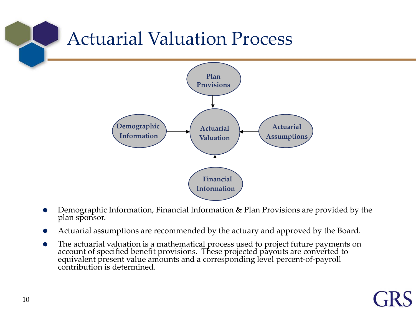

- Demographic Information, Financial Information & Plan Provisions are provided by the plan sponsor.
- Actuarial assumptions are recommended by the actuary and approved by the Board.
- The actuarial valuation is a mathematical process used to project future payments on account of specified benefit provisions. These projected payouts are converted to equivalent present value amounts and a corresponding level percent-of-payroll<br>contribution is determined.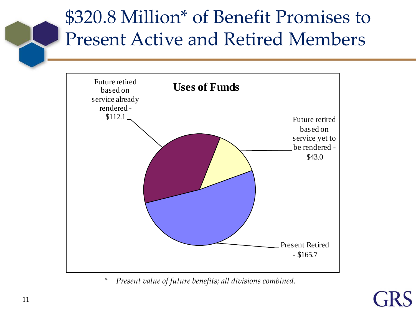#### \$320.8 Million\* of Benefit Promises to Present Active and Retired Members



*\* Present value of future benefits; all divisions combined.*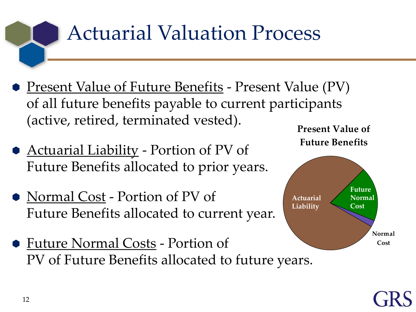# Actuarial Valuation Process

- <u>Present Value of Future Benefits</u> Present Value (PV) of all future benefits payable to current participants (active, retired, terminated vested).
- <u>Actuarial Liability</u> Portion of PV of Future Benefits allocated to prior years.
- Normal Cost Portion of PV of Future Benefits allocated to current year.
- Future Normal Costs Portion of PV of Future Benefits allocated to future years.



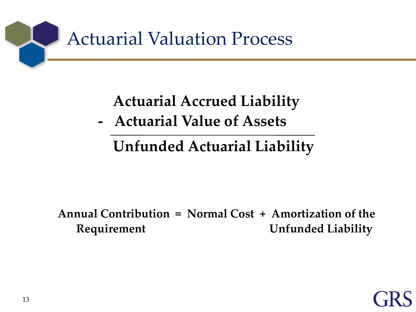

#### **Actuarial Accrued Liability**

 **- Actuarial Value of Assets**

#### **Unfunded Actuarial Liability**

**Annual Contribution = Normal Cost + Amortization of the Requirement Constraining Liability** Requirement

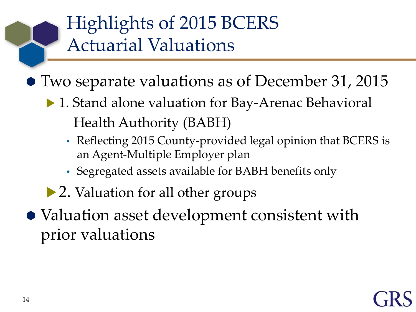Two separate valuations as of December 31, 2015

- ▶ 1. Stand alone valuation for Bay-Arenac Behavioral Health Authority (BABH)
	- Reflecting 2015 County-provided legal opinion that BCERS is an Agent-Multiple Employer plan
	- Segregated assets available for BABH benefits only
- 2. Valuation for all other groups
- Valuation asset development consistent with prior valuations

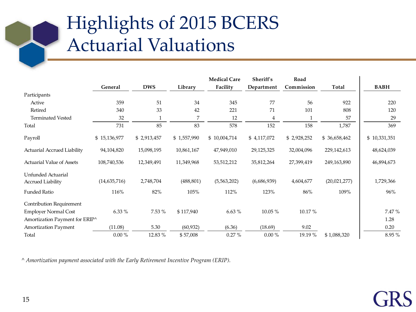|                                                |                |              |             | <b>Medical Care</b> | Sheriff's   | Road        |                |              |
|------------------------------------------------|----------------|--------------|-------------|---------------------|-------------|-------------|----------------|--------------|
|                                                | General        | <b>DWS</b>   | Library     | Facility            | Department  | Commission  | Total          | <b>BABH</b>  |
| Participants                                   |                |              |             |                     |             |             |                |              |
| Active                                         | 359            | 51           | 34          | 345                 | 77          | 56          | 922            | 220          |
| Retired                                        | 340            | 33           | 42          | 221                 | 71          | 101         | 808            | 120          |
| <b>Terminated Vested</b>                       | 32             | $\mathbf{1}$ | 7           | 12                  | 4           |             | 57             | 29           |
| Total                                          | 731            | 85           | 83          | 578                 | 152         | 158         | 1,787          | 369          |
| Payroll                                        | \$15,136,977   | \$2,913,457  | \$1,557,990 | \$10,004,714        | \$4,117,072 | \$2,928,252 | \$36,658,462   | \$10,331,351 |
| Actuarial Accrued Liability                    | 94,104,820     | 15,098,195   | 10,861,167  | 47,949,010          | 29,125,325  | 32,004,096  | 229,142,613    | 48,624,039   |
| <b>Actuarial Value of Assets</b>               | 108,740,536    | 12,349,491   | 11,349,968  | 53,512,212          | 35,812,264  | 27,399,419  | 249,163,890    | 46,894,673   |
| Unfunded Actuarial<br><b>Accrued Liability</b> | (14, 635, 716) | 2,748,704    | (488, 801)  | (5,563,202)         | (6,686,939) | 4,604,677   | (20, 021, 277) | 1,729,366    |
| <b>Funded Ratio</b>                            | 116%           | 82%          | 105%        | 112%                | 123%        | 86%         | 109%           | 96%          |
| Contribution Requirement                       |                |              |             |                     |             |             |                |              |
| <b>Employer Normal Cost</b>                    | $6.33\%$       | 7.53 %       | \$117,940   | 6.63%               | 10.05 %     | 10.17 %     |                | 7.47 %       |
| Amortization Payment for ERIP^                 |                |              |             |                     |             |             |                | 1.28         |
| Amortization Payment                           | (11.08)        | 5.30         | (60, 932)   | (6.36)              | (18.69)     | 9.02        |                | 0.20         |
| Total                                          | $0.00\,\%$     | 12.83 %      | \$57,008    | $0.27~\%$           | $0.00\ \%$  | 19.19%      | \$1,088,320    | 8.95%        |

*^ Amortization payment associated with the Early Retirement Incentive Program (ERIP).*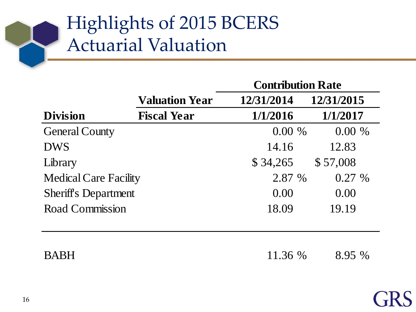|                              |                       | <b>Contribution Rate</b> |            |  |  |  |
|------------------------------|-----------------------|--------------------------|------------|--|--|--|
|                              | <b>Valuation Year</b> | 12/31/2014               | 12/31/2015 |  |  |  |
| <b>Division</b>              | <b>Fiscal Year</b>    | 1/1/2016                 | 1/1/2017   |  |  |  |
| <b>General County</b>        |                       | $0.00 \%$                | $0.00 \%$  |  |  |  |
| <b>DWS</b>                   |                       | 14.16                    | 12.83      |  |  |  |
| Library                      |                       | \$34,265                 | \$57,008   |  |  |  |
| <b>Medical Care Facility</b> |                       | 2.87 %                   | 0.27%      |  |  |  |
| <b>Sheriff's Department</b>  |                       | 0.00                     | 0.00       |  |  |  |
| <b>Road Commission</b>       |                       | 18.09                    | 19.19      |  |  |  |
|                              |                       |                          |            |  |  |  |
|                              |                       |                          |            |  |  |  |

BABH 11.36 % 8.95 %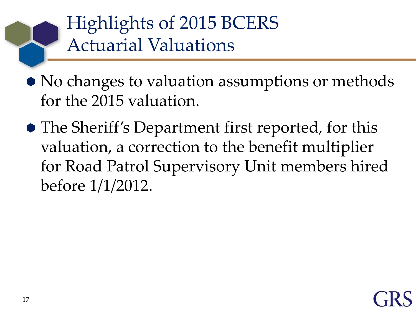• No changes to valuation assumptions or methods for the 2015 valuation.

• The Sheriff's Department first reported, for this valuation, a correction to the benefit multiplier for Road Patrol Supervisory Unit members hired before 1/1/2012.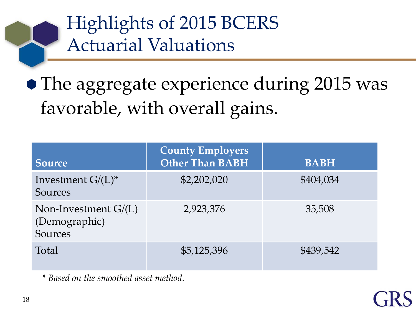#### • The aggregate experience during 2015 was favorable, with overall gains.

| <b>Source</b>                                      | <b>County Employers</b><br><b>Other Than BABH</b> | <b>BABH</b> |
|----------------------------------------------------|---------------------------------------------------|-------------|
| Investment $G/(L)^*$<br>Sources                    | \$2,202,020                                       | \$404,034   |
| Non-Investment $G/(L)$<br>(Demographic)<br>Sources | 2,923,376                                         | 35,508      |
| Total                                              | \$5,125,396                                       | \$439,542   |

*\* Based on the smoothed asset method.*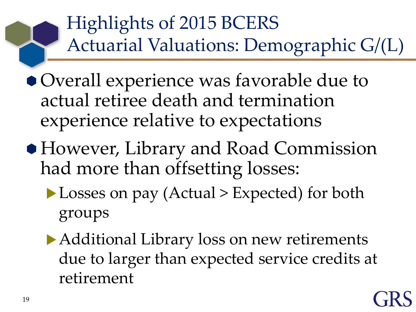Highlights of 2015 BCERS Actuarial Valuations: Demographic G/(L)

• Overall experience was favorable due to actual retiree death and termination experience relative to expectations

- However, Library and Road Commission had more than offsetting losses:
	- ▶ Losses on pay (Actual > Expected) for both groups
	- Additional Library loss on new retirements due to larger than expected service credits at retirement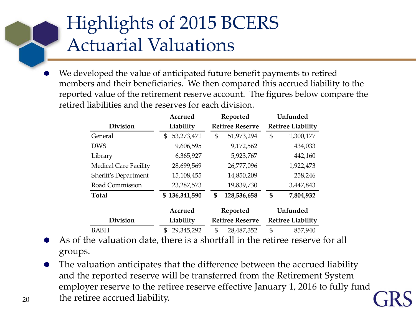We developed the value of anticipated future benefit payments to retired members and their beneficiaries. We then compared this accrued liability to the reported value of the retirement reserve account. The figures below compare the retired liabilities and the reserves for each division.

|                              | Accrued          | Reported                     | Unfunded                 |  |  |
|------------------------------|------------------|------------------------------|--------------------------|--|--|
| <b>Division</b>              | Liability        | <b>Retiree Reserve</b>       | <b>Retiree Liability</b> |  |  |
| General                      | 53,273,471<br>\$ | 51,973,294<br>\$             | \$<br>1,300,177          |  |  |
| <b>DWS</b>                   | 9,606,595        | 9,172,562                    | 434,033                  |  |  |
| Library                      | 6,365,927        | 5,923,767                    | 442,160                  |  |  |
| <b>Medical Care Facility</b> | 28,699,569       | 26,777,096                   | 1,922,473                |  |  |
| Sheriff's Department         | 15,108,455       | 14,850,209                   | 258,246                  |  |  |
| Road Commission              | 23, 287, 573     | 19,839,730                   | 3,447,843                |  |  |
| <b>Total</b>                 | \$136,341,590    | \$<br>128,536,658            | \$<br>7,804,932          |  |  |
|                              | Accrued          | Reported                     | Unfunded                 |  |  |
| <b>Division</b>              | Liability        | <b>Retiree Reserve</b>       | <b>Retiree Liability</b> |  |  |
| BABH                         | 29,345,292<br>\$ | $\mathfrak{S}$<br>28,487,352 | \$<br>857,940            |  |  |

- As of the valuation date, there is a shortfall in the retiree reserve for all groups.
- The valuation anticipates that the difference between the accrued liability and the reported reserve will be transferred from the Retirement System employer reserve to the retiree reserve effective January 1, 2016 to fully fund the retiree accrued liability.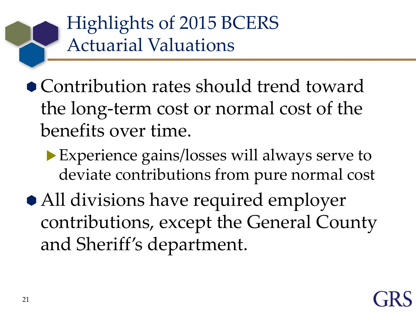- Contribution rates should trend toward the long-term cost or normal cost of the benefits over time.
	- Experience gains/losses will always serve to deviate contributions from pure normal cost
- All divisions have required employer contributions, except the General County and Sheriff's department.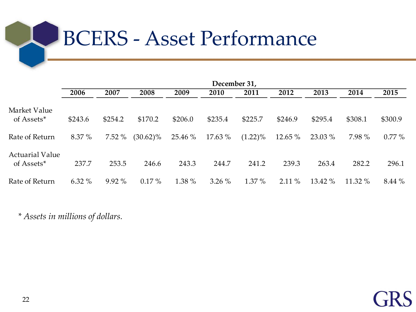## BCERS - Asset Performance

|                                      | December 31, |          |             |         |          |            |          |           |         |          |
|--------------------------------------|--------------|----------|-------------|---------|----------|------------|----------|-----------|---------|----------|
|                                      | 2006         | 2007     | 2008        | 2009    | 2010     | 2011       | 2012     | 2013      | 2014    | 2015     |
| Market Value<br>of Assets*           | \$243.6      | \$254.2  | \$170.2     | \$206.0 | \$235.4  | \$225.7    | \$246.9  | \$295.4   | \$308.1 | \$300.9  |
| Rate of Return                       | 8.37 %       | $7.52\%$ | $(30.62)\%$ | 25.46 % | 17.63 %  | $(1.22)\%$ | 12.65 %  | 23.03 %   | 7.98 %  | $0.77\%$ |
| <b>Actuarial Value</b><br>of Assets* | 237.7        | 253.5    | 246.6       | 243.3   | 244.7    | 241.2      | 239.3    | 263.4     | 282.2   | 296.1    |
| Rate of Return                       | $6.32\%$     | $9.92\%$ | $0.17\%$    | 1.38 %  | $3.26\%$ | $1.37\%$   | $2.11\%$ | $13.42\%$ | 11.32 % | 8.44%    |

*\* Assets in millions of dollars.*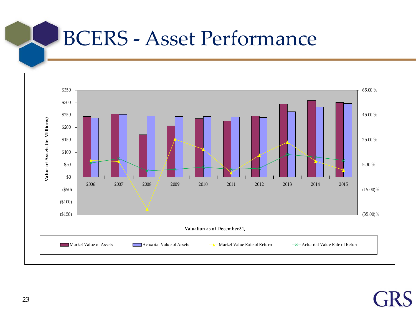#### BCERS - Asset Performance

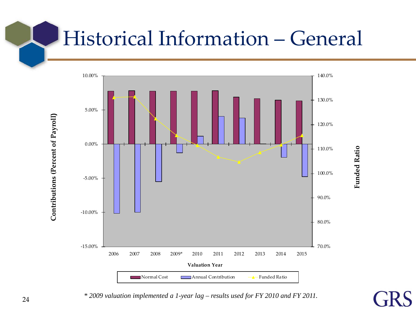#### Historical Information – General



**Funded Ratio**

**Funded Ratio** 

*\* 2009 valuation implemented a 1-year lag – results used for FY 2010 and FY 2011.*

Contributions (Percent of Payroll) **Contributions (Percent of Payroll)**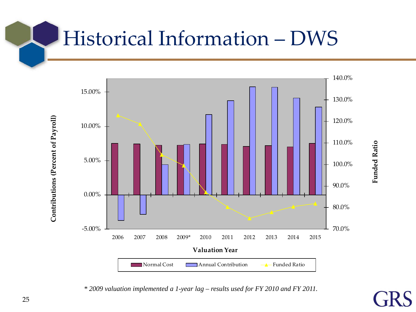#### Historical Information – DWS



*\* 2009 valuation implemented a 1-year lag – results used for FY 2010 and FY 2011.*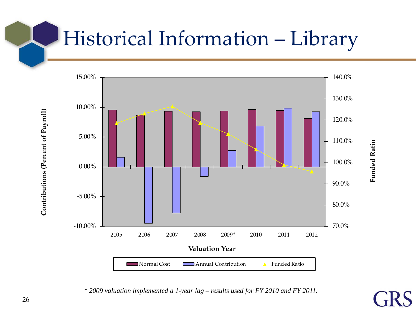### Historical Information – Library



*\* 2009 valuation implemented a 1-year lag – results used for FY 2010 and FY 2011.*

26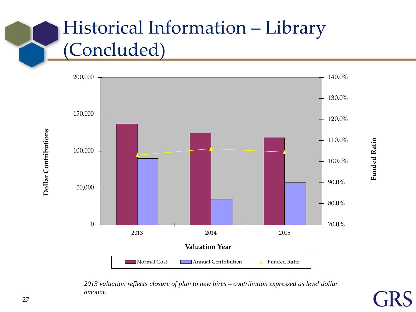#### Historical Information – Library (Concluded)



*2013 valuation reflects closure of plan to new hires – contribution expressed as level dollar amount.*

**Funded Ratio Funded Ratio**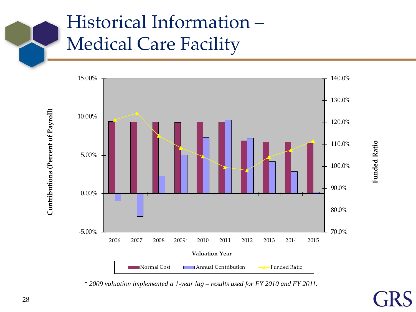#### Historical Information – Medical Care Facility



*\* 2009 valuation implemented a 1-year lag – results used for FY 2010 and FY 2011.*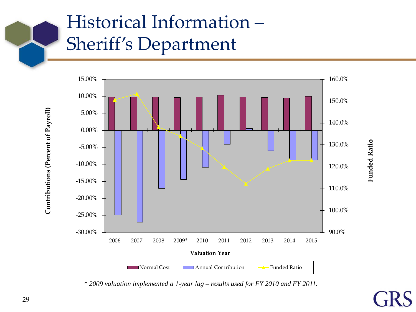#### Historical Information – Sheriff's Department



*\* 2009 valuation implemented a 1-year lag – results used for FY 2010 and FY 2011.*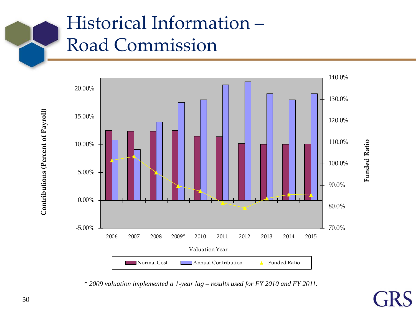#### Historical Information – Road Commission



*\* 2009 valuation implemented a 1-year lag – results used for FY 2010 and FY 2011.*

Contributions (Percent of Payroll) **Contributions (Percent of Payroll)**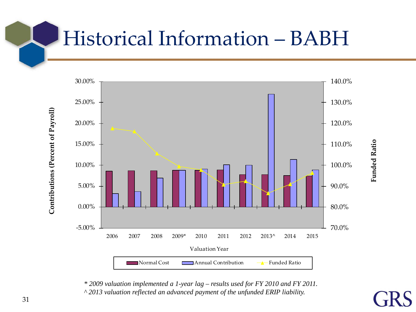#### Historical Information – BABH



*\* 2009 valuation implemented a 1-year lag – results used for FY 2010 and FY 2011. ^ 2013 valuation reflected an advanced payment of the unfunded ERIP liability.*

**Funded Ratio Funded Ratio**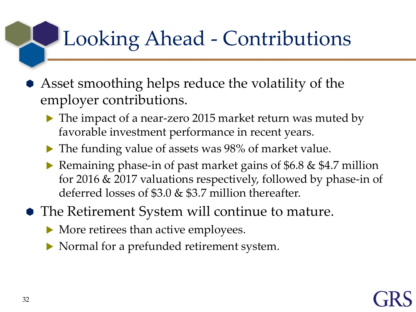# Looking Ahead - Contributions

- Asset smoothing helps reduce the volatility of the employer contributions.
	- The impact of a near-zero 2015 market return was muted by favorable investment performance in recent years.
	- The funding value of assets was 98% of market value.
	- Remaining phase-in of past market gains of \$6.8 & \$4.7 million for 2016 & 2017 valuations respectively, followed by phase-in of deferred losses of \$3.0 & \$3.7 million thereafter.
- The Retirement System will continue to mature.
	- More retirees than active employees.
	- Normal for a prefunded retirement system.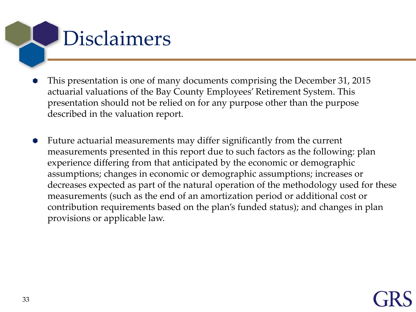

- This presentation is one of many documents comprising the December 31, 2015 actuarial valuations of the Bay County Employees' Retirement System. This presentation should not be relied on for any purpose other than the purpose described in the valuation report.
- Future actuarial measurements may differ significantly from the current measurements presented in this report due to such factors as the following: plan experience differing from that anticipated by the economic or demographic assumptions; changes in economic or demographic assumptions; increases or decreases expected as part of the natural operation of the methodology used for these measurements (such as the end of an amortization period or additional cost or contribution requirements based on the plan's funded status); and changes in plan provisions or applicable law.